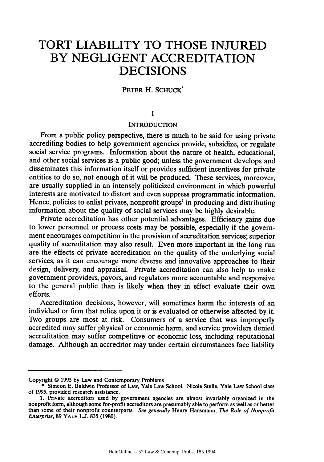# **TORT LIABILITY TO THOSE INJURED BY NEGLIGENT ACCREDITATION DECISIONS**

## PETER H. **SCHUCK\***

## **I**

## INTRODUCTION

From a public policy perspective, there is much to be said for using private accrediting bodies to help government agencies provide, subsidize, or regulate social service programs. Information about the nature of health, educational, and other social services is a public good; unless the government develops and disseminates this information itself or provides sufficient incentives for private entities to do so, not enough of it will be produced. These services, moreover, are usually supplied in an intensely politicized environment in which powerful interests are motivated to distort and even suppress programmatic information. Hence, policies to enlist private, nonprofit groups<sup>1</sup> in producing and distributing information about the quality of social services may be **highly** desirable.

Private accreditation has other potential advantages. Efficiency gains due to lower personnel or process costs may be possible, especially if the government encourages competition in the provision of accreditation services; superior quality of accreditation may also result. Even more important in the long run are the effects of private accreditation on the quality of the underlying social services, as it can encourage more diverse and innovative approaches to their design, delivery, and appraisal. Private accreditation can also help to make government providers, payors, and regulators more accountable and responsive to the general public than is likely when they in effect evaluate their own efforts.

Accreditation decisions, however, will sometimes harm the interests of an individual or firm that relies upon it or is evaluated or otherwise affected **by** it. **TWo** groups are most at risk. Consumers of a service that was improperly accredited may suffer physical or economic harm, and service providers denied accreditation may suffer competitive or economic loss, including reputational damage. Although an accreditor may under certain circumstances face liability

Copyright © **1995 by** Law and Contemporary Problems

**<sup>\*</sup>** Simeon **E.** Baldwin Professor of Law, Yale Law School. Nicole Stelle, Yale Law School class **of 1995,** provided research assistance.

**<sup>1.</sup>** Private accreditors used **by** government agencies are almost invariably organized in the nonprofit form, although some for-profit accreditors are presumably able to perform as well as or better than some of their nonprofit counterparts. **See generally** Henry Hansmann, **The** *Role of Nonprofit Enterprise,* **89 YALE L.J. 835 (1980).**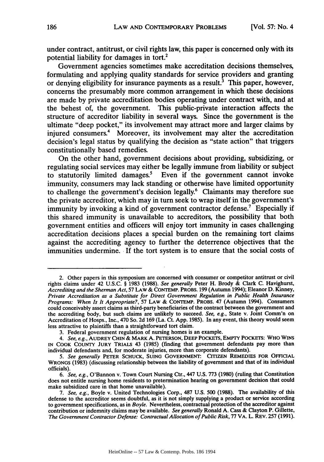under contract, antitrust, or civil rights law, this paper is concerned only with its potential liability for damages in tort.2

Government agencies sometimes make accreditation decisions themselves, formulating and applying quality standards for service providers and granting or denying eligibility for insurance payments as a result.<sup>3</sup> This paper, however, concerns the presumably more common arrangement in which these decisions are made by private accreditation bodies operating under contract with, and at the behest of, the government. This public-private interaction affects the structure of accreditor liability in several ways. Since the government is the ultimate "deep pocket," its involvement may attract more and larger claims by injured consumers.<sup>4</sup> Moreover, its involvement may alter the accreditation decision's legal status by qualifying the decision as "state action" that triggers constitutionally based remedies.

On the other hand, government decisions about providing, subsidizing, or regulating social services may either be legally immune from liability or subject to statutorily limited damages.<sup>5</sup> Even if the government cannot invoke immunity, consumers may lack standing or otherwise have limited opportunity to challenge the government's decision legally.<sup>6</sup> Claimants may therefore sue the private accreditor, which may in turn seek to wrap itself in the government's immunity by invoking a kind of government contractor defense.<sup>7</sup> Especially if this shared immunity is unavailable to accreditors, the possibility that both government entities and officers will enjoy tort immunity in cases challenging accreditation decisions places a special burden on the remaining tort claims against the accrediting agency to further the deterrence objectives that the immunities undermine. If the tort system is to ensure that the social costs of

<sup>2.</sup> Other papers in this symposium are concerned with consumer or competitor antitrust or civil rights claims under 42 U.S.C. § 1983 (1988). *See generally* Peter H. Brody & Clark C. Havighurst, *Accrediting and the Sherman Act,* 57 LAW & CONTEMP. PROBS. 199 (Autumn 1994); Eleanor D. Kinney, *Private Accreditation as a Substitute for Direct Government Regulation in Public Health Insurance Programs: When Is It Appropriate?,* **57 LAW & CONTEMP. PROBS.** 47 (Autumn 1994). Consumers could conceivably assert claims as third-party beneficiaries of the contract between the government and the accrediting body, but such claims are unlikely to succeed. *See, e.g.,* State v. Joint Comm'n on Accreditation of Hosps., Inc., 470 So. **2d 169** (La. Ct. **App. 1985).** In any event, this theory would seem less attractive to plaintiffs than a straightforward tort claim.

**<sup>3.</sup>** Federal government regulation of nursing homes is an example.

*<sup>4.</sup> See, e.g.,* **AUDREY CHIN & MARK A. PETERSON, DEEP** POCKETS, **EMPTY** POCKETS: WHO **WINS IN** COOK **COUNTY JURY TRIALS** 43 (1985) (finding that government defendants pay more than individual defendants and, for moderate injuries, more than corporate defendants).

*<sup>5.</sup> See generally* PETER SCHUCK, SUING GOVERNMENT. CITIZEN REMEDIES **FOR OFFICIAL WRONGS** (1983) (discussing relationship between the liability of government and that of its individual officials).

*<sup>6.</sup> See, e.g.,* O'Bannon v. Town Court Nursing Ctr., 447 **U.S. 773 (1980)** (ruling that Constitution does not entitle nursing home residents to pretermination hearing on government decision that could make subsidized care in that home unavailable).

*<sup>7.</sup> See, e.g.,* Boyle v. United Technologies Corp., **487 U.S. 500 (1988).** The availability of this defense to the accreditor seems doubtful, as it is not simply supplying a product or service according to government specifications, as in *Boyle.* Nevertheless, contractual protection of the accreditor against contribution or indemnity claims may be available. *See generally* Ronald **A.** Cass **&** Clayton P. Gillette, *The Government Contractor Defense: Contractual Allocation of Public Risk,* **77** VA. L. REV. **257 (1991).**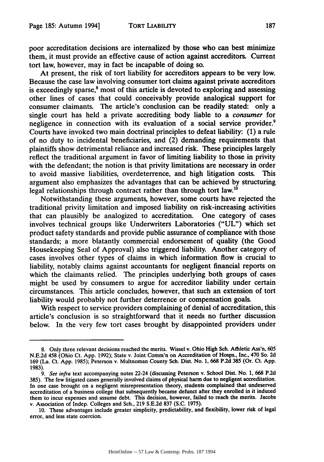poor accreditation decisions are internalized **by** those who can best minimize them, it must provide an effective cause of action against accreditors. Current tort law, however, may in fact be incapable of doing so.

At present, the risk of tort liability for accreditors appears to be very low. Because the case law involving consumer tort claims against private accreditors is exceedingly sparse, $8 \text{ most of this article}$  is devoted to exploring and assessing other lines of cases that could conceivably provide analogical support for consumer claimants. The article's conclusion can be readily stated: only a single court has held a private accrediting body liable to a *consumer* for negligence in connection with its evaluation of a social service provider.<sup>9</sup> Courts have invoked two main doctrinal principles to defeat liability: (1) a rule of no duty to incidental beneficiaries, and (2) demanding requirements that plaintiffs show detrimental reliance and increased risk. These principles largely reflect the traditional argument in favor of limiting liability to those in privity with the defendant; the notion is that privity limitations are necessary in order to avoid massive liabilities, overdeterrence, and high litigation costs. This argument also emphasizes the advantages that can be achieved by structuring legal relationships through contract rather than through tort law.<sup>10</sup>

Notwithstanding these arguments, however, some courts have rejected the traditional privity limitation and imposed liability on risk-increasing activities that can plausibly be analogized to accreditation. One category of cases involves technical groups like Underwriters Laboratories ("UL") which set product safety standards and provide public assurance of compliance with those standards; a more blatantly commercial endorsement of quality (the Good Housekeeping Seal of Approval) also triggered liability. Another category of cases involves other types of claims in which information flow is crucial to liability, notably claims against accountants for negligent financial reports on which the claimants relied. The principles underlying both groups of cases might be used by consumers to argue for accreditor liability under certain circumstances. This article concludes, however, that such an extension of tort liability would probably not further deterrence or compensation goals.

With respect to service providers complaining of denial of accreditation, this article's conclusion is so straightforward that it needs no further discussion below. In the very few tort cases brought by disappointed providers under

<sup>8.</sup> Only three relevant decisions reached the merits. Wissel v. Ohio High Sch. Athletic Ass'n, 605 N.E.2d 458 (Ohio Ct. App. 1992); State v. Joint Comm'n on Accreditation of Hosps., Inc., 470 So. 2d 169 (La. Ct. App. 1985); Peterson v. Multnoman County Sch. Dist. No. 1, 668 P.2d **385** (Or. Ct. App. 1983).

*<sup>9.</sup> See infra* text accompanying notes 22-24 (discussing Peterson v. School Dist. No. 1, 668 P.2d 385). The few litigated cases generally involved claims of physical harm due to negligent accreditation. In one case brought on a negligent misrepresentation theory, students complained that undeserved accreditation of a business college that subsequently became defunct after they enrolled in it induced them to incur expenses and assume debt. This decision, however, failed to reach the merits. Jacobs v. Association of Indep. Colleges and Sch., 219 S.E.2d 837 (S.C. 1975).

<sup>10.</sup> These advantages include greater simplicity, predictability, and flexibility, lower risk of legal error, and less state coercion.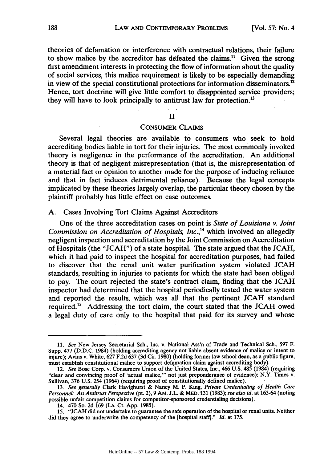theories of defamation or interference with contractual relations, their failure to show malice by the accreditor has defeated the claims.<sup>11</sup> Given the strong first amendment interests in protecting the flow of information about the quality of social services, this malice requirement is likely to be especially demanding in view of the special constitutional protections for information disseminators.<sup>12</sup> Hence, tort doctrine will give little comfort to disappointed service providers; they will have to look principally to antitrust law for protection.<sup>13</sup>

#### II

#### CONSUMER CLAIMS

Several legal theories are available to consumers who seek to hold accrediting bodies liable in tort for their injuries. The most commonly invoked theory is negligence in the performance of the accreditation. An additional theory is that of negligent misrepresentation (that is, the misrepresentation of a material fact or opinion to another made for the purpose of inducing reliance and that in fact induces detrimental reliance). Because the legal concepts implicated by these theories largely overlap, the particular theory chosen by the plaintiff probably has little effect on case outcomes.

#### A. Cases Involving Tort Claims Against Accreditors

One of the three accreditation cases on point is *State of Louisiana v. Joint Commission on Accreditation of Hospitals, Inc.,<sup>14</sup> which involved an allegedly* negligent inspection and accreditation by the Joint Commission on Accreditation of Hospitals (the "JCAH") of a state hospital. The state argued that the JCAH, which it had paid to inspect the hospital for accreditation purposes, had failed to discover that the renal unit water purification system violated JCAH standards, resulting in injuries to patients for which the state had been obliged to pay. The court rejected the state's contract claim, finding that the JCAH inspector had determined that the hospital periodically tested the water system and reported the results, which was all that the pertinent JCAH standard required.<sup>15</sup> Addressing the tort claim, the court stated that the JCAH owed a legal duty of care only to the hospital that paid for its survey and whose

<sup>11.</sup> *See* New Jersey Secretarial Sch., Inc. v. National Ass'n of Trade and Technical Sch., 597 F. Supp. 477 (D.D.C. 1984) (holding accrediting agency not liable absent evidence of malice or intent to injure); Avins v. White, 627 F.2d 637 (3d Cir. 1980) (holding former law school dean, as a public figure, must establish constitutional malice to support defamation claim against accrediting body).<br>12. See Bose Corp. v. Consumers Union of the United States, Inc., 466 U.S. 485 (1984) (requiring

<sup>&</sup>quot;clear and convincing proof of 'actual malice," not just preponderance of evidence); N.Y. Times v. Sullivan, **376 U.S.** 254 (1964) (requiring proof of constitutionally defined malice).

**<sup>13.</sup>** *See generally* Clark Havighurst **&** Nancy M. P. King, *Private Credentialing of Health Care Personnel: An Antitrust Perspective* (pt. 2), **9 AM. J.L. &** MED. **131 (1983);** *see also id.* at **163-64** (noting possible unfair competition claims for competitor-sponsored credentialing decisions).

<sup>14. 470</sup> So. **2d 169** (La. Ct. **App. 1985).**

**<sup>15. &</sup>quot;JCAH** did not undertake to guarantee the safe operation of the hospital or renal units. Neither did they agree to underwrite the competency of the [hospital staff]." *Id.* at **175.**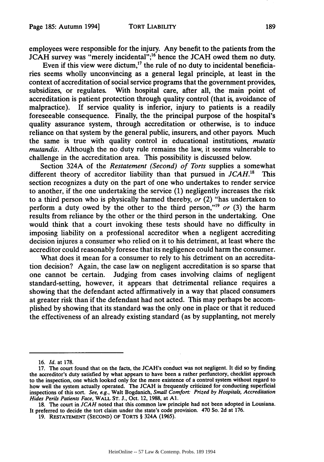employees were responsible for the injury. Any benefit to the patients from the JCAH survey was "merely incidental"; 16 hence the JCAH owed them no duty.

Even if this view were dictum,<sup>17</sup> the rule of no duty to incidental beneficiaries seems wholly unconvincing as a general legal principle, at least in the context of accreditation of social service programs that the government provides, subsidizes, or regulates. With hospital care, after all, the main point of accreditation is patient protection through quality control (that is, avoidance of malpractice). If service quality is inferior, injury to patients is a readily foreseeable consequence. Finally, the the principal purpose of the hospital's quality assurance system, through accreditation or otherwise, is to induce reliance on that system by the general public, insurers, and other payors. Much the same is true with quality control in educational institutions, *mutatis mutandis.* Although the no duty rule remains the law, it seems vulnerable to challenge in the accreditation area. This possibility is discussed below.

Section 324A of the *Restatement (Second) of Torts* supplies a somewhat different theory of accreditor liability than that pursued in *JCAH."8* This section recognizes a duty on the part of one who undertakes to render service to another, if the one undertaking the service (1) negligently increases the risk to a third person who is physically harmed thereby, *or* (2) "has undertaken to perform a duty owed by the other to the third person,"<sup>19</sup> or  $(3)$  the harm results from reliance by the other or the third person in the undertaking. One would think that a court invoking these tests should have no difficulty in imposing liability on a professional accreditor when a negligent accrediting decision injures a consumer who relied on it to his detriment, at least where the accreditor could reasonably foresee that its negligence could harm the consumer.

What does it mean for a consumer to rely to his detriment on an accreditation decision? Again, the case law on negligent accreditation is so sparse that one cannot be certain. Judging from cases involving claims of negligent standard-setting, however, it appears that detrimental reliance requires a showing that the defendant acted affirmatively in a way that placed consumers at greater risk than if the defendant had not acted. This may perhaps be accomplished by showing that its standard was the only one in place or that it reduced the effectiveness of an already existing standard (as by supplanting, not merely

<sup>16.</sup> *Id.* at 178.

**<sup>17.</sup>** The court found that on the facts, the JCAH's conduct was not negligent. It did so **by** finding the accreditor's duty satisfied by what appears to have been a rather perfunctory, checklist approach to the inspection, one which looked only for the mere existence of a control system without regard to how well the system actually operated. The JCAH is frequently criticized for conducting superficial inspections of this sort. *See, e.g., Walt Bogdanich, Small Comfort: Prized by Hospitals, Accreditation Hides Perils Patients Face,* WALL **ST. J.,** Oct. 12, 1988, at **Al.**

<sup>18.</sup> The court in *JCAH* noted that this common law principle had not been adopted in Lousiana. It preferred to decide the tort claim under the state's code provision. 470 So. 2d at **176.**

**<sup>19.</sup> RESTATEMENT (SECOND) OF** TORTS § 324A (1965).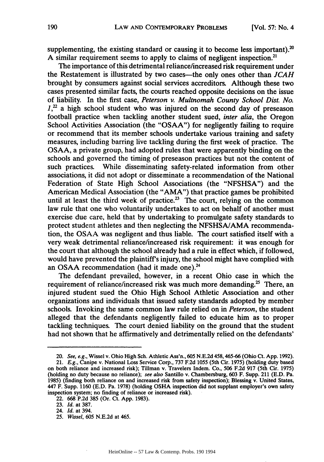supplementing, the existing standard or causing it to become less important).<sup>20</sup> A similar requirement seems to apply to claims of negligent inspection.2'

The importance of this detrimental reliance/increased risk requirement under the Restatement is illustrated by two cases-the only ones other than *JCAH* brought by consumers against social services accreditors. Although these two cases presented Similar facts, the courts reached opposite decisions on the issue of liability. In the first case, *Peterson v. Multnomah County School Dist. No.*  $1<sup>22</sup>$  a high school student who was injured on the second day of preseason football practice when tackling another student sued, *inter alia,* the Oregon School Activities Association (the "OSAA") for negligently failing to require or recommend that its member schools undertake various training and safety measures, including barring live tackling during the first week of practice. The OSAA, a private group, had adopted rules that were apparently binding on the schools and governed the timing of preseason practices but not the content of such practices. While disseminating safety-related information from other associations, it did not adopt or disseminate a recommendation of the National Federation of State High School Associations (the "NFSHSA") and the American Medical Association (the "AMA") that practice games be prohibited until at least the third week of practice.<sup>23</sup> The court, relying on the common law rule that one who voluntarily undertakes to act on behalf of another must exercise due care, held that by undertaking to promulgate safety standards to protect student athletes and then neglecting the NFSHSA/AMA recommendation, the OSAA was negligent and thus liable. The court satisfied itself with a very weak detrimental reliance/increased risk requirement: it was enough for the court that although the school already had a rule in effect which, if followed, would have prevented the plaintiff's injury, the school might have complied with an OSAA recommendation (had it made one).<sup>24</sup>

The defendant prevailed, however, in a recent Ohio case in which the requirement of reliance/increased risk was much more demanding.<sup>25</sup> There, an injured student sued the Ohio High School Athletic Association and other organizations and individuals that issued safety standards adopted by member schools. Invoking the same common law rule relied on in *Peterson,* the student alleged that the defendants negligently failed to educate him as to proper tackling techniques. The court denied liability on the ground that the student had not shown that he affirmatively and detrimentally relied on the defendants'

<sup>20.</sup> *See, e.g.,* Wissel v. Ohio High Sch. Athletic Ass'n., **605 N.E.2d 458,465-66** (Ohio Ct. **App. 1992).**

<sup>21.</sup> *E.g.,* Canipe v. National Loss Service Corp., **737 F.2d 1055** (5th Cir. **1975)** (holding duty based on both reliance and increased risk); Tillman v. Travelers Indem. Co., **506 F.2d 917** (5th Cir. 1975) (holding no duty because no reliance); *see also* Santillo v. Chambersburg, **603** F. **Supp.** 211 **(E.D.** Pa. **1985)** (finding both reliance on and increased risk from safety inspection); Blessing v. United States, 447 F. Supp. 1160 (E.D. Pa. 1978) (holding **OSHA** inspection did not supplant employer's own safety inspection system; no finding of reliance or increased risk).

<sup>22. 668</sup> **P.2d 385** (Or. Ct. App. 1983).

**<sup>23.</sup>** *Id.* at 387.

<sup>24.</sup> *Id.* at 394.

*<sup>25.</sup> Wissel,* 605 **N.E.2d** at 465.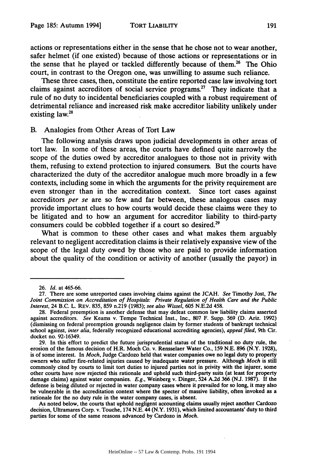actions or representations either in the sense that he chose not to wear another, safer helmet (if one existed) because of those actions or representations or in the sense that he played or tackled differently because of them.<sup>26</sup> The Ohio court, in contrast to the Oregon one, was unwilling to assume such reliance.

These three cases, then, constitute the entire reported case law involving tort claims against accreditors of social service programs." They indicate that a rule of no duty to incidental beneficiaries coupled with a robust requirement of detrimental reliance and increased risk make accreditor liability unlikely under existing law.<sup>28</sup>

# B. Analogies from Other Areas of Tort Law

The following analysis draws upon judicial developments in other areas of tort law. In some of these areas, the courts have defined quite narrowly the scope of the duties owed **by** accreditor analogues to those not in privity with them, refusing to extend protection to injured consumers. But the courts have characterized the duty of the accreditor analogue much more broadly in a few contexts, including some in which the arguments for the privity requirement are even stronger than in the accreditation context. Since tort cases against accreditors *per se* are so few and far between, these analogous cases may provide important clues to how courts would decide these claims were they to be litigated and to how an argument for accreditor liability to third-party consumers could be cobbled together if a court so desired.<sup>29</sup>

What is common to these other cases and what makes them arguably relevant to negligent accreditation claims is their relatively expansive view of the scope of the legal duty owed **by** those who are paid to provide information about the quality of the condition or activity of another (usually the payor) in

As noted below, the courts that uphold negligent accounting claims usually reject another Cardozo decision, Ultramares Corp. v. Touche, 174 **N.E.** 44 (N.Y. **1931),** which limited accountants' duty to third parties for some of the same reasons advanced **by** Cardozo in *Moch.*

**<sup>26.</sup>** *Id.* at **465-66.**

**<sup>27.</sup>** There are some unreported cases involving claims against the **JCAH.** *See* Timothy Jost, *The Joint Commission on Accreditation of Hospitals: Private Regulation of Health Care and the Public Interest,* 24 B.C. L. **REV. 835, 859** n.219 **(1983);** *see also Wissel,* **605 N.E.2d** 458.

**<sup>28.</sup>** Federal preemption is another defense that may defeat common law liability claims asserted against accreditors. *See* Keams v. Tempe Technical Inst., Inc., **807** F. Supp. **569 (D.** Ariz. **1992)** (dismissing on federal preemption grounds negligence claim **by** former students of bankrupt technical school against, *inter alia,* federally recognized educational accrediting agencies), *appeal filed,* 9th Cir. docket no. **92-16349.**

**<sup>29.</sup>** In this effort to predict the future jurisprudential status of the traditional no duty rule, the erosion of the famous decision of H.R. Moch Co. v. Rensselaer Water Co., **159 N.E. 896** (N.Y. **1928),** is of some interest. In *Moch,* Judge Cardozo held that water companies owe no legal duty to property owners who suffer fire-related injuries caused **by** inadequate water pressure. Although *Moch* is still commonly cited **by** courts to limit tort duties to injured parties not in privity with the injurer, some other courts have now rejected this rationale and upheld such third-party suits (at least for property damage claims) against water companies. *E.g.,* Weinberg v. Dinger, 524 **A.2d 366 (NJ. 1987).** If the defense is being diluted or rejected in water company cases where it prevailed for so long, it may also be vulnerable in the accreditation context where the specter of massive liability, often invoked as a rationale for the no duty rule in the water company cases, is absent.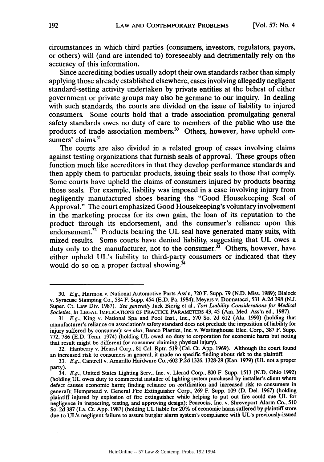circumstances in which third parties (consumers, investors, regulators, payors, or others) will (and are intended to) foreseeably and detrimentally rely on the accuracy of this information.

Since accrediting bodies usually adopt their own standards rather than simply applying those already established elsewhere, cases involving allegedly negligent standard-setting activity undertaken by private entities at the behest of either government or private groups may also be germane to our inquiry. In dealing with such standards, the courts are divided on the issue of liability to injured consumers. Some courts hold that a trade association promulgating general safety standards owes no duty of care to members of the public who use the products of trade association members.<sup>30</sup> Others, however, have upheld consumers' claims.<sup>31</sup>

The courts are also divided in a related group of cases involving claims against testing organizations that furnish seals of approval. These groups often function much like accreditors in that they develop performance standards and then apply them to particular products, issuing their seals to those that comply. Some courts have upheld the claims of consumers injured by products bearing those seals. For example, liability was imposed in a case involving injury from negligently manufactured shoes bearing the "Good Housekeeping Seal of Approval." The court emphasized Good Housekeeping's voluntary involvement in the marketing process for its own gain, the loan of its reputation to the product through its endorsement, and the consumer's reliance upon this endorsement. $32$  Products bearing the UL seal have generated many suits, with mixed results. Some courts have denied liability, suggesting that UL owes a duty only to the manufacturer, not to the consumer.<sup>33</sup> Others, however, have either upheld UL's liability to third-party consumers or indicated that they would do so on a proper factual showing. $^{34}$ 

<sup>30.</sup> *E.g.,* Harmon v. National Automotive Parts Ass'n, 720 F. Supp. 79 (N.D. Miss. 1989); Blalock v. Syracuse Stamping Co., 584 F. Supp. 454 (E.D. Pa. 1984); Meyers v. Donnatacci, 531 A.2d 398 (N.J. Super. Ct. Law Div. 1987). *See generally* Jack Bierig et al., *Tort Liability Considerations for Medical Societies, in* **LEGAL** IMPLICATIONS OF PRACTICE PARAMETERS 43, 45 (Am. Med. Ass'n ed., 1987).

<sup>31.</sup> *E.g.,* King v. National Spa and Pool Inst., Inc., 570 So. 2d 612 (Ala. 1990) (holding that manufacturer's reliance on association's safety standard does not preclude the imposition of liability for injury suffered by consumer); *see also,* Benco Plastics, Inc. v. Westinghouse Elec. Corp., 387 F. Supp. 772, 786 (E.D. Tenn. 1974) (holding UL owed no duty to corporation for economic harm but noting that result might be different for consumer claiming physical injury).

<sup>32.</sup> Hanberry v. Hearst Corp., 81 Cal. Rptr. 519 (Cal. Ct. App. 1969). Although the court found an increased risk to consumers in general, it made no specific finding about risk to the plaintiff. 33. *E.g.,* Cantrell v. Amarillo Hardware Co.,602 P.2d 1326, 1328-29 (Kan. 1979) (UL not a proper

party).

<sup>34.</sup> *E.g.,* United States Lighting Serv., Inc. v. Llerad Corp., **800** F. Supp. **1513** (N.D. Ohio 1992) (holding **UL** owes duty to commercial installer of lighting system purchased by installer's client where defect causes economic harm; finding reliance on certification and increased risk to consumers in general); Hempstead v. General Fire Extinguisher Corp., **269** F. Supp. 109 **(D.** Del. 1967) (holding plaintiff injured by explosion of fire extinguisher while helping to put out fire could sue **UL** for negligence in inspecting, testing, and approving design); Peacocks, Inc. v. Shreveport Alarm Co., **510** So. **2d 387** (La. Ct. App. 1987) (holding **UL** liable for 20% of economic harm suffered by plaintiff store due to UL's negligent failure to assure burglar alarm system's compliance with UL's previously-issued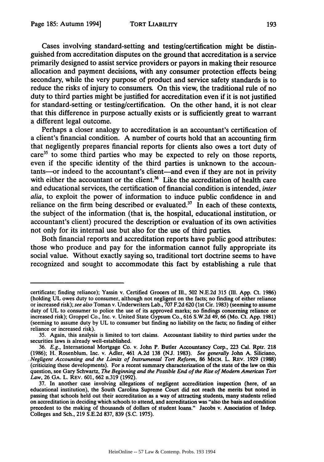Cases involving standard-setting and testing/certification might be distinguished from accreditation disputes on the ground that accreditation is a service primarily designed to assist service providers or payors in making their resource allocation and payment decisions, with any consumer protection effects being secondary, while the very purpose of product and service safety standards is to reduce the risks of injury to consumers. On this view, the traditional rule of no duty to third parties might be justified for accreditation even if it is not justified for standard-setting or testing/certification. On the other hand, it is not clear that this difference in purpose actually exists or is sufficiently great to warrant a different legal outcome.

Perhaps a closer analogy to accreditation is an accountant's certification of a client's financial condition. **A** number of courts hold that an accounting firm that negligently prepares financial reports for clients also owes a tort duty of care<sup>35</sup> to some third parties who may be expected to rely on those reports, even if the specific identity of the third parties is unknown to the accountants-or indeed to the accountant's client-and even if they are not in privity with either the accountant or the client.<sup>36</sup> Like the accreditation of health care and educational services, the certification of financial condition is intended, *inter alia,* to exploit the power of information to induce public confidence in and reliance on the firm being described or evaluated. $37$  In each of these contexts, the subject of the information (that is, the hospital, educational institution, or accountant's client) procured the description or evaluation of its own activities not only for its internal use but also for the use of third parties.

Both financial reports and accreditation reports have public good attributes: those who produce and pay for the information cannot fully appropriate its social value. Without exactly saying so, traditional tort doctrine seems to have recognized and sought to accommodate this fact **by** establishing a rule that

certificate; finding reliance); Yassin v. Certified Grocers of **Ill.,** 502 N.E.2d 315 (II1. App. Ct. 1986) (holding UL owes duty to consumer, although not negligent on the facts; no finding of either reliance or increased risk); see also Toman v. Underwriters Lab., 707 F.2d 620 (1st Cir. 1983) (seeming to assume duty of UL to consumer to police the use of its approved marks; no findings concerning reliance or increased risk); Groppel Co., Inc. v. United State Gypsum Co., 616 S.W.2d 49, 66 (Mo. Ct. App. 1981) (seeming to assume duty **by UL** to consumer but finding no liability on the facts; no finding of either reliance or increased risk).

<sup>35.</sup> Again, this analysis is limited to tort claims. Accountant liability to third parties under the securities laws is already well-established.

<sup>36.</sup> E.g., International Mortgage Co. v. John P. Butler Accountancy Corp., 223 Cal. Rptr. 218 (1986); H.. Rosenblum, Inc. v. Adler, 461 A.2d 138 (NJ. 1983). See generally John A. Siliciano, *,Negligent* Accounting and the Limits of Instrumental Tort Reform, 86 MICH. L. REV. 1929 (1988) (criticizing these developments). For a recent summary characterization of the state of the law on this question, see Gary Schwartz, The Beginning and the Possible End of the Rise of Modern American Tort *Law,* 26 GA. L. REV. 601, 662 n.319 (1992).

<sup>37.</sup> In another case involving allegations of negligent accreditation inspection (here, of an educational institution), the South Carolina Supreme Court did not reach the merits but noted in passing that schools held out their accreditation as a way of attracting students, many students relied on accreditation in deciding which schools to attend, and accreditation was "also the basis and condition precedent to the making of thousands of dollars of student loans." Jacobs v. Association of Indep. Colleges and Sch., **219 S.E.2d 837, 839 (S.C. 1975).**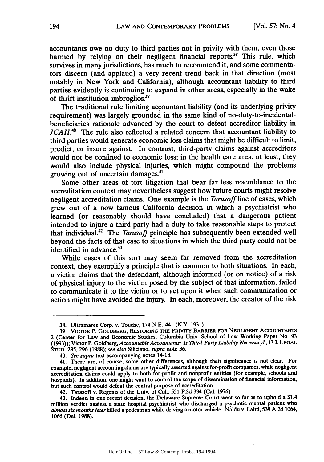accountants owe no duty to third parties not in privity with them, even those harmed by relying on their negligent financial reports.<sup>38</sup> This rule, which survives in many jurisdictions, has much to recommend it, and some commentators discern (and applaud) a very recent trend back in that direction (most notably in New York and California), although accountant liability to third parties evidently is continuing to expand in other areas, especially in the wake of thrift institution imbroglios.39

The traditional rule limiting accountant liability (and its underlying privity requirement) was largely grounded in the same kind of no-duty-to-incidentalbeneficiaries rationale advanced by the court to defeat accreditor liability in *JCAH.<sup>40</sup>* The rule also reflected a related concern that accountant liability to third parties would generate economic loss claims that might be difficult to limit, predict, or insure against. In contrast, third-party claims against accreditors would not be confined to economic loss; in the health care area, at least, they would also include physical injuries, which might compound the problems growing out of uncertain damages.<sup>41</sup>

Some other areas of tort litigation that bear far less resemblance to the accreditation context may nevertheless suggest how future courts might resolve negligent accreditation claims. One example is the *Tarasoff* line of cases, which grew out of a now famous California decision in which a psychiatrist who learned (or reasonably should have concluded) that a dangerous patient intended to injure a third party had a duty to take reasonable steps to protect that individual.42 The *Tarasoff* principle has subsequently been extended well beyond the facts of that case to situations in which the third party could not be identified in advance.<sup>43</sup>

While cases of this sort may seem far removed from the accreditation context, they exemplify a principle that is common to both situations. In each, a victim claims that the defendant, although informed (or on notice) of a risk of physical injury to the victim posed by the subject of that information, failed to communicate it to the victim or to act upon it when such communication or action might have avoided the injury. In each, moreover, the creator of the risk

<sup>38.</sup> Ultramares Corp. v. Touche, 174 N.E. 441 (N.Y. 1931).

**<sup>39.</sup> VICTOR** P. **GOLDBERG, RESTORING THE PRIvITY BARRIER FOR NEGLIGENT** ACCOUNTANTS 2 (Center for Law and Economic Studies, Columbia Univ. School of Law Working Paper No. 93 **(1993));** Victor P. Goldberg, Accountable Accountants: *Is Third-Party Liability Necessary?,* **17 J. LEGAL STUD. 295, 296 (1988);** *see also* Siliciano, *supra* note **36.**

*<sup>40.</sup> See supra* text accompanying notes 14-18.

<sup>41.</sup> There are, of course, some other differences, although their significance is not clear. For example, negligent accounting claims are typically asserted against for-profit companies, while negligent accreditation claims could apply to both for-profit and nonprofit entities (for example, schools and hospitals). In addition, one might want to control the scope of dissemination of financial information, but such control would defeat the central purpose of accreditation.

<sup>42.</sup> Tarasoff v. Regents of the Univ. of Cal., **551 P.2d** 334 (Cal. **1976).**

<sup>43.</sup> Indeed in one recent decision, the Delaware Supreme Court went so far as to uphold a \$1.4 million verdict against a state hospital psychiatrist who discharged a psychotic mental patient who *almost six months later* killed a pedestrian while driving a motor vehicle. Naidu v. Laird, **539 A.2d** 1064, **1066** (Del. **1988).**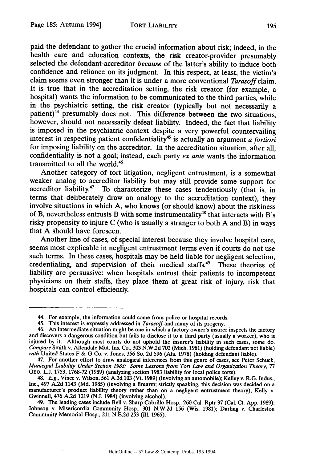paid the defendant to gather the crucial information about risk; indeed, in the health care and education contexts, the risk creator-provider presumably selected the defendant-accreditor *because* of the latter's ability to induce both confidence and reliance on its judgment. In this respect, at least, the victim's claim seems even stronger than it is under a more conventional *Tarasoff* claim. It is true that in the accreditation setting, the risk creator (for example, a hospital) wants the information to be communicated to the third parties, while in the psychiatric setting, the risk creator (typically but not necessarily a patient)<sup>44</sup> presumably does not. This difference between the two situations, however, should not necessarily defeat liability. Indeed, the fact that liability is imposed in the psychiatric context despite a very powerful countervailing interest in respecting patient confidentiality45 is actually an argument *a fortiori* for imposing liability on the accreditor. In the accreditation situation, after all, confidentiality is not a goal; instead, each party *ex ante* wants the information transmitted to all the world.'

Another category of tort litigation, negligent entrustment, is a somewhat weaker analog to accreditor liability but may still provide some support for accreditor liability.<sup>47</sup> To characterize these cases tendentiously (that is, in terms that deliberately draw an analogy to the accreditation context), they involve situations in which A, who knows (or should know) about the riskiness of B, nevertheless entrusts B with some instrumentality<sup>48</sup> that interacts with B's risky propensity to injure C (who is usually a stranger to both A and B) in ways that A should have foreseen.

Another line of cases, of special interest because they involve hospital care, seems most explicable in negligent entrustment terms even if courts do not use such terms. In these cases, hospitals may be held liable for negligent selection, credentialing, and supervision of their medical staffs.49 These theories of liability are persuasive: when hospitals entrust their patients to incompetent physicians on their staffs, they place them at great risk of injury, risk that hospitals can control efficiently.

<sup>44.</sup> For example, the information could come from police or hospital records.

<sup>45.</sup> This interest is expressly addressed in *Tarasoff* and many of its progeny.

<sup>46.</sup> An intermediate situation might be one in which a factory owner's insurer inspects the factory and discovers a dangerous condition but fails to disclose it to a third party (usually a worker), who is injured by it. Although most courts do not uphold the insurer's liability in such cases, some do. *Compare* Smith v. Allendale Mut. Ins. Co., 303 N.W.2d 702 (Mich. 1981) (holding defendant not liable) *with* United States F & G Co. v. Jones, 356 So. 2d 596 (Ala. 1978) (holding defendant liable).

<sup>47.</sup> For another effort to draw analogical inferences from this genre of cases, see Peter Schuck, *Municipal Liability Under Section 1983: Some Lessons from Tort Law and Organization Theory,* **77 GEO. L.J. 1753, 1768-72 (1989)** (analyzing section **1983** liability for local police torts).

<sup>48.</sup> *E.g.,* Vince v. Wilson, **561 A.2d 103** (Vt. **1989)** (involving an automobile); Kelley v. R.G. Indus., manufacturer's product liability theory rather than on a negligent entrustment theory); Kelly v.<br>Gwinnell, 476 A.2d 1219 (N.J. 1984) (involving alcohol).

<sup>49.</sup> The leading cases include Bell v. Sharp Cabrillo Hosp., **260** Cal. Rptr **37** (Cal. Ct. **App. 1989);** Johnson v. Misericordia Community Hosp., **301 N.W.2d 156** (Wis. **1981);** Darling v. Charleston Community Memorial Hosp., 211 **N.E.2d 253 (I1. 1965).**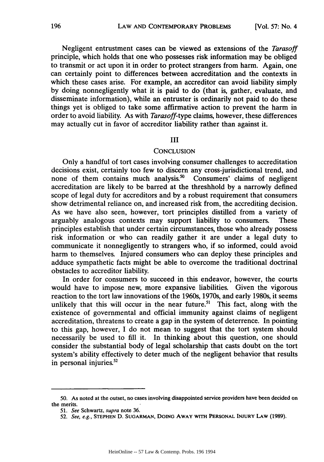Negligent entrustment cases can be viewed as extensions of the *Tarasoff* principle, which holds that one who possesses risk information may be obliged to transmit or act upon it in order to protect strangers from harm. Again, one can certainly point to differences between accreditation and the contexts in which these cases arise. For example, an accreditor can avoid liability simply by doing nonnegligently what it is paid to do (that is, gather, evaluate, and disseminate information), while an entruster is ordinarily not paid to do these things yet is obliged to take some affirmative action to prevent the harm in order to avoid liability. As with *Tarasoff-type* claims, however, these differences may actually cut in favor of accreditor liability rather than against it.

## III

#### **CONCLUSION**

Only a handful of tort cases involving consumer challenges to accreditation decisions exist, certainly too few to discern any cross-jurisdictional trend, and none of them contains much analysis.<sup>50</sup> Consumers' claims of negligent accreditation are likely to be barred at the threshhold by a narrowly defined scope of legal duty for accreditors and by a robust requirement that consumers show detrimental reliance on, and increased risk from, the accrediting decision. As we have also seen, however, tort principles distilled from a variety of arguably analogous contexts may support liability to consumers. These principles establish that under certain circumstances, those who already possess risk information or who can readily gather it are under a legal duty to communicate it nonnegligently to strangers who, if so informed, could avoid harm to themselves. Injured consumers who can deploy these principles and adduce sympathetic facts might be able to overcome the traditional doctrinal obstacles to accreditor liability.

In order for consumers to succeed in this endeavor, however, the courts would have to impose new, more expansive liabilities. Given the vigorous reaction to the tort law innovations of the 1960s, 1970s, and early 1980s, it seems unlikely that this will occur in the near future.<sup>51</sup> This fact, along with the existence of governmental and official immunity against claims of negligent accreditation, threatens to create a gap in the system of deterrence. In pointing to this gap, however, I do not mean to suggest that the tort system should necessarily be used to fill it. In thinking about this question, one should consider the substantial body of legal scholarship that casts doubt on the tort system's ability effectively to deter much of the negligent behavior that results in personal injuries. $52$ 

<sup>50.</sup> As noted at the outset, no cases involving disappointed service providers have been decided on the merits.

<sup>51.</sup> See Schwartz, supra note 36.

<sup>52.</sup> See, e.g., **STEPHEN** D. **SUGARMAN, DOING AWAY** WITH **PERSONAL INJURY LAW** (1989).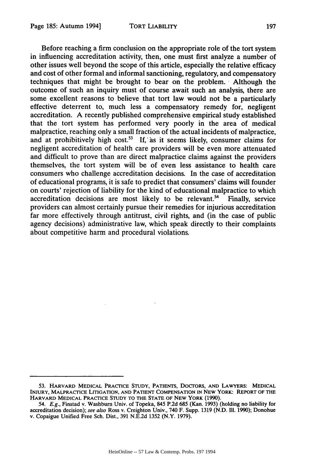Before reaching a firm conclusion on the appropriate role of the tort system in influencing accreditation activity, then, one must first analyze a number of other issues well beyond the scope of this article, especially the relative efficacy and cost of other formal and informal sanctioning, regulatory, and compensatory techniques that might be brought to bear on the problem. Although the outcome of such an inquiry must of course await such an analysis, there are some excellent reasons to believe that tort law would not be a particularly effective deterrent to, much less a compensatory remedy for, negligent accreditation. A recently published comprehensive empirical study established that the tort system has performed very poorly in the area of medical malpractice, reaching only a small fraction of the actual incidents of malpractice, and at prohibitively high cost.<sup>53</sup> If, as it seems likely, consumer claims for negligent accreditation of health care providers will be even more attenuated and difficult to prove than are direct malpractice claims against the providers themselves, the tort system will be of even less assistance to health care consumers who challenge accreditation decisions. In the case of accreditation of educational programs, it is safe to predict that consumers' claims will founder on courts' rejection of liability for the kind of educational malpractice to which accreditation decisions are most likely to be relevant.<sup>54</sup> Finally, service providers can almost certainly pursue their remedies for injurious accreditation far more effectively through antitrust, civil rights, and (in the case of public agency decisions) administrative law, which speak directly to their complaints about competitive harm and procedural violations.

<sup>53.</sup> HARVARD **MEDICAL PRACTICE STUDY, PATIENTS,** DOCTORS, **AND** LAWYERS: **MEDICAL** INJURY, MALPRACTICE **LITIGATION, AND PATIENT COMPENSATION IN NEW** YORK: REPORT OF THE HARVARD **MEDICAL** PRACTICE **STUDY** TO THE **STATE** OF **NEW** YORK (1990).

<sup>54.</sup> E.g., Finstad v. Washburn Univ. of Topeka, 845 P.2d 685 (Kan. 1993) (holding no liability for accreditation decision); see also Ross v. Creighton Univ., 740 F. Supp. 1319 (N.D. **I11.** 1990); Donohue v. Copaigue Unified Free Sch. Dist., 391 N.E.2d 1352 (N.Y. 1979).